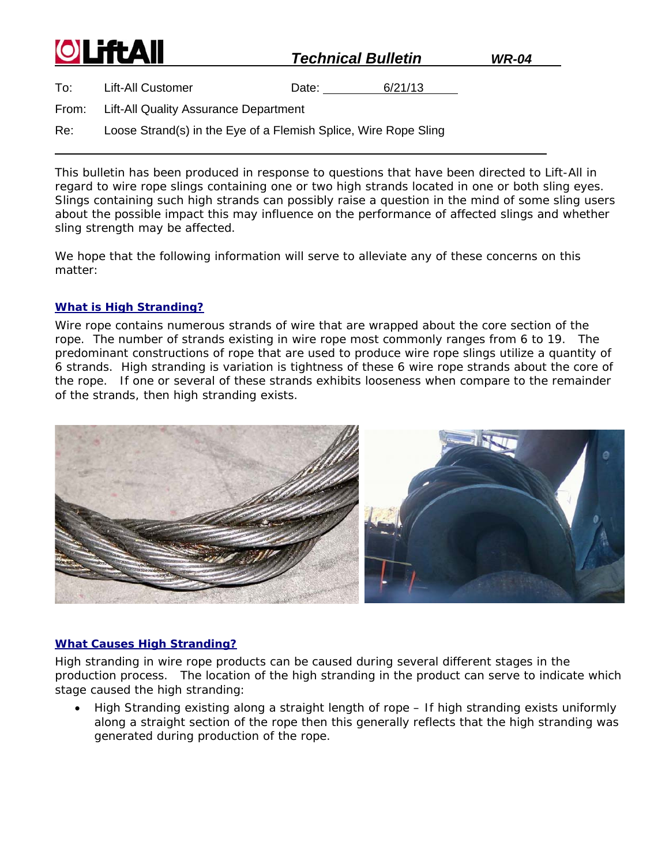| <b>OLiftAll</b> |                                                                 |       | <b>Technical Bulletin</b> |  |
|-----------------|-----------------------------------------------------------------|-------|---------------------------|--|
| To:             | <b>Lift-All Customer</b>                                        | Date: | 6/21/13                   |  |
| From:           | Lift-All Quality Assurance Department                           |       |                           |  |
| Re:             | Loose Strand(s) in the Eye of a Flemish Splice, Wire Rope Sling |       |                           |  |

This bulletin has been produced in response to questions that have been directed to Lift-All in regard to wire rope slings containing one or two high strands located in one or both sling eyes. Slings containing such high strands can possibly raise a question in the mind of some sling users about the possible impact this may influence on the performance of affected slings and whether sling strength may be affected.

We hope that the following information will serve to alleviate any of these concerns on this matter:

## *What is High Stranding?*

Wire rope contains numerous strands of wire that are wrapped about the core section of the rope. The number of strands existing in wire rope most commonly ranges from 6 to 19. The predominant constructions of rope that are used to produce wire rope slings utilize a quantity of 6 strands. High stranding is variation is tightness of these 6 wire rope strands about the core of the rope. If one or several of these strands exhibits looseness when compare to the remainder of the strands, then *high stranding* exists.



## *What Causes High Stranding?*

High stranding in wire rope products can be caused during several different stages in the production process. The location of the high stranding in the product can serve to indicate which stage caused the high stranding:

• High Stranding existing along a straight length of rope – If high stranding exists uniformly along a straight section of the rope then this generally reflects that the high stranding was generated during production of the rope.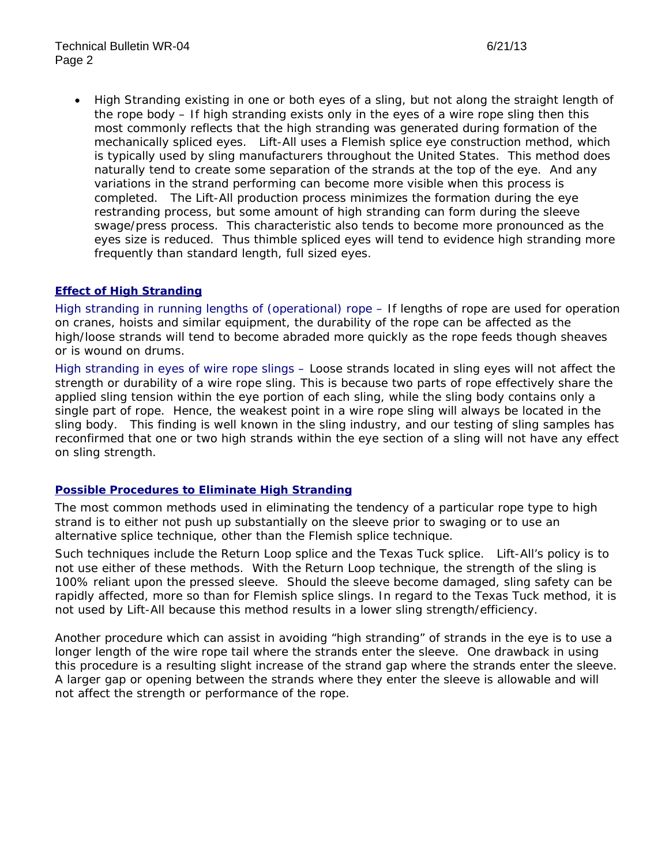• *High Stranding existing in one or both eyes of a sling, but not along the straight length of the rope body* – If high stranding exists only in the eyes of a wire rope sling then this most commonly reflects that the high stranding was generated during formation of the mechanically spliced eyes. Lift-All uses a *Flemish* splice eye construction method, which is typically used by sling manufacturers throughout the United States. This method does naturally tend to create some separation of the strands at the top of the eye. And any variations in the strand performing can become more visible when this process is completed. The Lift-All production process minimizes the formation during the eye restranding process, but some amount of high stranding can form during the sleeve swage/press process. This characteristic also tends to become more pronounced as the eyes size is reduced. Thus thimble spliced eyes will tend to evidence high stranding more frequently than standard length, full sized eyes.

## *Effect of High Stranding*

*High stranding in running lengths of (operational) rope –* If lengths of rope are used for operation on cranes, hoists and similar equipment, the durability of the rope can be affected as the high/loose strands will tend to become abraded more quickly as the rope feeds though sheaves or is wound on drums.

*High stranding in eyes of wire rope slings* – Loose strands located in sling eyes will not affect the strength or durability of a wire rope sling. This is because two parts of rope effectively share the applied sling tension within the eye portion of each sling, while the sling body contains only a single part of rope. Hence, the weakest point in a wire rope sling will always be located in the sling body. This finding is well known in the sling industry, and our testing of sling samples has reconfirmed that one or two high strands within the eye section of a sling will not have any effect on sling strength.

## *Possible Procedures to Eliminate High Stranding*

The most common methods used in eliminating the tendency of a particular rope type to high strand is to either not push up substantially on the sleeve prior to swaging or to use an alternative splice technique, other than the *Flemish* splice technique.

Such techniques include the *Return Loop* splice and the *Texas Tuck* splice. Lift-All's policy is to not use either of these methods. With the *Return Loop* technique, the strength of the sling is 100% reliant upon the pressed sleeve. Should the sleeve become damaged, sling safety can be rapidly affected, more so than for *Flemish* splice slings. In regard to the *Texas Tuck* method, it is not used by Lift-All because this method results in a lower sling strength/efficiency.

Another procedure which can assist in avoiding "high stranding" of strands in the eye is to use a longer length of the wire rope tail where the strands enter the sleeve. One drawback in using this procedure is a resulting slight increase of the strand gap where the strands enter the sleeve. A larger gap or opening between the strands where they enter the sleeve is allowable and will not affect the strength or performance of the rope.